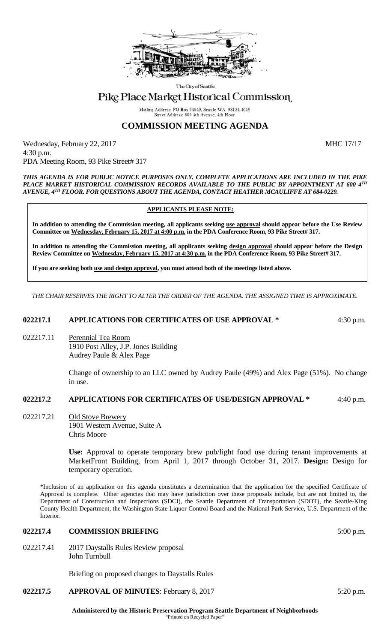

The City of Seattle

# Pike Place Market Historical Commission

Mailing Address: PO Box 94649, Seattle WA 98124-4649 Street Address: 600 4th Avenue, 4th Floo

# **COMMISSION MEETING AGENDA**

Wednesday, February 22, 2017 MHC 17/17 4:30 p.m. PDA Meeting Room, 93 Pike Street# 317

*THIS AGENDA IS FOR PUBLIC NOTICE PURPOSES ONLY. COMPLETE APPLICATIONS ARE INCLUDED IN THE PIKE PLACE MARKET HISTORICAL COMMISSION RECORDS AVAILABLE TO THE PUBLIC BY APPOINTMENT AT 600 4TH AVENUE, 4TH FLOOR. FOR QUESTIONS ABOUT THE AGENDA, CONTACT HEATHER MCAULIFFE AT 684-0229.*

### **APPLICANTS PLEASE NOTE:**

**In addition to attending the Commission meeting, all applicants seeking use approval should appear before the Use Review Committee on Wednesday, February 15, 2017 at 4:00 p.m. in the PDA Conference Room, 93 Pike Street# 317.**

**In addition to attending the Commission meeting, all applicants seeking design approval should appear before the Design Review Committee on Wednesday, February 15, 2017 at 4:30 p.m. in the PDA Conference Room, 93 Pike Street# 317.** 

**If you are seeking both use and design approval, you must attend both of the meetings listed above.**

*THE CHAIR RESERVES THE RIGHT TO ALTER THE ORDER OF THE AGENDA. THE ASSIGNED TIME IS APPROXIMATE.*

### **022217.1 APPLICATIONS FOR CERTIFICATES OF USE APPROVAL \*** 4:30 p.m.

022217.11 Perennial Tea Room

1910 Post Alley, J.P. Jones Building Audrey Paule & Alex Page

> Change of ownership to an LLC owned by Audrey Paule (49%) and Alex Page (51%). No change in use.

## **022217.2 APPLICATIONS FOR CERTIFICATES OF USE/DESIGN APPROVAL \*** 4:40 p.m.

022217.21 Old Stove Brewery 1901 Western Avenue, Suite A Chris Moore

> **Use:** Approval to operate temporary brew pub/light food use during tenant improvements at MarketFront Building, from April 1, 2017 through October 31, 2017. **Design:** Design for temporary operation.

\*Inclusion of an application on this agenda constitutes a determination that the application for the specified Certificate of Approval is complete. Other agencies that may have jurisdiction over these proposals include, but are not limited to, the Department of Construction and Inspections (SDCI), the Seattle Department of Transportation (SDOT), the Seattle-King County Health Department, the Washington State Liquor Control Board and the National Park Service, U.S. Department of the Interior.

### **022217.4 COMMISSION BRIEFING** 5:00 p.m.

022217.41 2017 Daystalls Rules Review proposal John Turnbull

Briefing on proposed changes to Daystalls Rules

**022217.5 APPROVAL OF MINUTES**: February 8, 2017 5:20 p.m.